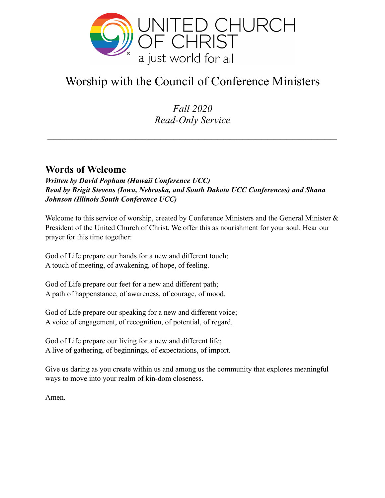

# Worship with the Council of Conference Ministers

*Fall 2020 Read-Only Service* 

## **Words of Welcome**

*Written by David Popham (Hawaii Conference UCC) Read by Brigit Stevens (Iowa, Nebraska, and South Dakota UCC Conferences) and Shana Johnson (Illinois South Conference UCC)* 

Welcome to this service of worship, created by Conference Ministers and the General Minister  $\&$ President of the United Church of Christ. We offer this as nourishment for your soul. Hear our prayer for this time together:

God of Life prepare our hands for a new and different touch; A touch of meeting, of awakening, of hope, of feeling.

God of Life prepare our feet for a new and different path; A path of happenstance, of awareness, of courage, of mood.

God of Life prepare our speaking for a new and different voice; A voice of engagement, of recognition, of potential, of regard.

God of Life prepare our living for a new and different life; A live of gathering, of beginnings, of expectations, of import.

Give us daring as you create within us and among us the community that explores meaningful ways to move into your realm of kin-dom closeness.

Amen.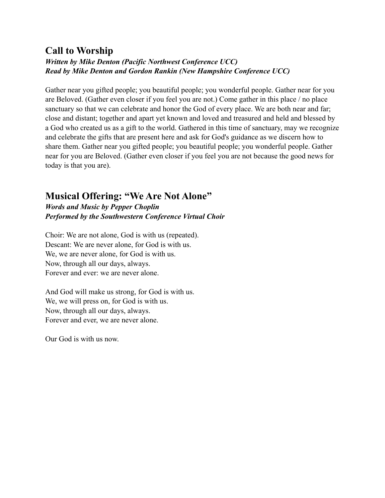#### **Call to Worship**  *Written by Mike Denton (Pacific Northwest Conference UCC) Read by Mike Denton and Gordon Rankin (New Hampshire Conference UCC)*

Gather near you gifted people; you beautiful people; you wonderful people. Gather near for you are Beloved. (Gather even closer if you feel you are not.) Come gather in this place / no place sanctuary so that we can celebrate and honor the God of every place. We are both near and far; close and distant; together and apart yet known and loved and treasured and held and blessed by a God who created us as a gift to the world. Gathered in this time of sanctuary, may we recognize and celebrate the gifts that are present here and ask for God's guidance as we discern how to share them. Gather near you gifted people; you beautiful people; you wonderful people. Gather near for you are Beloved. (Gather even closer if you feel you are not because the good news for today is that you are).

## **Musical Offering: "We Are Not Alone"**

*Words and Music by Pepper Choplin Performed by the Southwestern Conference Virtual Choir* 

Choir: We are not alone, God is with us (repeated). Descant: We are never alone, for God is with us. We, we are never alone, for God is with us. Now, through all our days, always. Forever and ever: we are never alone.

And God will make us strong, for God is with us. We, we will press on, for God is with us. Now, through all our days, always. Forever and ever, we are never alone.

Our God is with us now.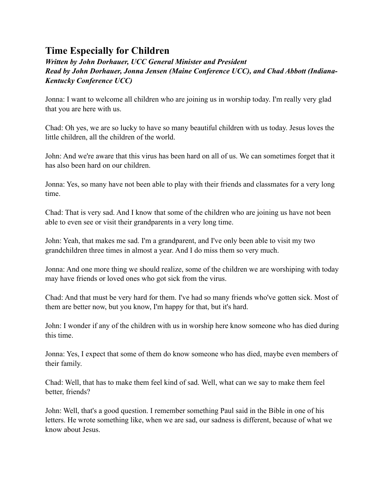## **Time Especially for Children**

*Written by John Dorhauer, UCC General Minister and President Read by John Dorhauer, Jonna Jensen (Maine Conference UCC), and Chad Abbott (Indiana-Kentucky Conference UCC)* 

Jonna: I want to welcome all children who are joining us in worship today. I'm really very glad that you are here with us.

Chad: Oh yes, we are so lucky to have so many beautiful children with us today. Jesus loves the little children, all the children of the world.

John: And we're aware that this virus has been hard on all of us. We can sometimes forget that it has also been hard on our children.

Jonna: Yes, so many have not been able to play with their friends and classmates for a very long time.

Chad: That is very sad. And I know that some of the children who are joining us have not been able to even see or visit their grandparents in a very long time.

John: Yeah, that makes me sad. I'm a grandparent, and I've only been able to visit my two grandchildren three times in almost a year. And I do miss them so very much.

Jonna: And one more thing we should realize, some of the children we are worshiping with today may have friends or loved ones who got sick from the virus.

Chad: And that must be very hard for them. I've had so many friends who've gotten sick. Most of them are better now, but you know, I'm happy for that, but it's hard.

John: I wonder if any of the children with us in worship here know someone who has died during this time.

Jonna: Yes, I expect that some of them do know someone who has died, maybe even members of their family.

Chad: Well, that has to make them feel kind of sad. Well, what can we say to make them feel better, friends?

John: Well, that's a good question. I remember something Paul said in the Bible in one of his letters. He wrote something like, when we are sad, our sadness is different, because of what we know about Jesus.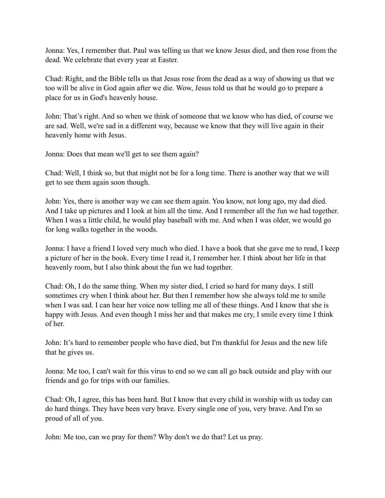Jonna: Yes, I remember that. Paul was telling us that we know Jesus died, and then rose from the dead. We celebrate that every year at Easter.

Chad: Right, and the Bible tells us that Jesus rose from the dead as a way of showing us that we too will be alive in God again after we die. Wow, Jesus told us that he would go to prepare a place for us in God's heavenly house.

John: That's right. And so when we think of someone that we know who has died, of course we are sad. Well, we're sad in a different way, because we know that they will live again in their heavenly home with Jesus.

Jonna: Does that mean we'll get to see them again?

Chad: Well, I think so, but that might not be for a long time. There is another way that we will get to see them again soon though.

John: Yes, there is another way we can see them again. You know, not long ago, my dad died. And I take up pictures and I look at him all the time. And I remember all the fun we had together. When I was a little child, he would play baseball with me. And when I was older, we would go for long walks together in the woods.

Jonna: I have a friend I loved very much who died. I have a book that she gave me to read, I keep a picture of her in the book. Every time I read it, I remember her. I think about her life in that heavenly room, but I also think about the fun we had together.

Chad: Oh, I do the same thing. When my sister died, I cried so hard for many days. I still sometimes cry when I think about her. But then I remember how she always told me to smile when I was sad. I can hear her voice now telling me all of these things. And I know that she is happy with Jesus. And even though I miss her and that makes me cry, I smile every time I think of her.

John: It's hard to remember people who have died, but I'm thankful for Jesus and the new life that he gives us.

Jonna: Me too, I can't wait for this virus to end so we can all go back outside and play with our friends and go for trips with our families.

Chad: Oh, I agree, this has been hard. But I know that every child in worship with us today can do hard things. They have been very brave. Every single one of you, very brave. And I'm so proud of all of you.

John: Me too, can we pray for them? Why don't we do that? Let us pray.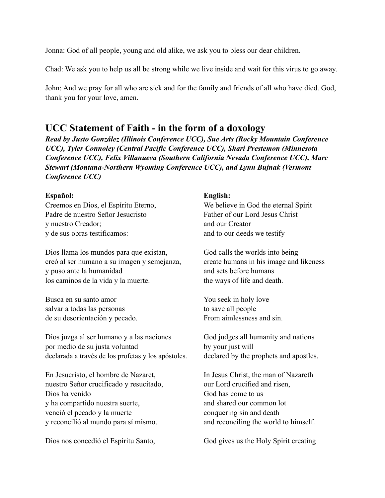Jonna: God of all people, young and old alike, we ask you to bless our dear children.

Chad: We ask you to help us all be strong while we live inside and wait for this virus to go away.

John: And we pray for all who are sick and for the family and friends of all who have died. God, thank you for your love, amen.

## **UCC Statement of Faith - in the form of a doxology**

*Read by Justo González (Illinois Conference UCC), Sue Arts (Rocky Mountain Conference UCC), Tyler Connoley (Central Pacific Conference UCC), Shari Prestemon (Minnesota Conference UCC), Felix Villanueva (Southern California Nevada Conference UCC), Marc Stewart (Montana-Northern Wyoming Conference UCC), and Lynn Bujnak (Vermont Conference UCC)* 

#### **Español: English:**

Padre de nuestro Señor Jesucristo<br>Father of our Lord Jesus Christ y nuestro Creador; and our Creator y de sus obras testificamos: and to our deeds we testify

Dios llama los mundos para que existan, God calls the worlds into being creó al ser humano a su imagen y semejanza, create humans in his image and likeness y puso ante la humanidad and sets before humans los caminos de la vida y la muerte. the ways of life and death.

Busca en su santo amor You seek in holy love salvar a todas las personas to save all people to save all people de su desorientación y pecado. From aimlessness and sin.

Dios juzga al ser humano y a las naciones God judges all humanity and nations por medio de su justa voluntad by your just will declarada a través de los profetas y los apóstoles. declared by the prophets and apostles.

En Jesucristo, el hombre de Nazaret, In Jesus Christ, the man of Nazareth nuestro Señor crucificado y resucitado, our Lord crucified and risen, Dios ha venido God has come to us y ha compartido nuestra suerte, and shared our common lot venció el pecado y la muerte conquering sin and death y reconcilió al mundo para sí mismo. and reconciling the world to himself.

Creemos en Dios, el Espíritu Eterno, We believe in God the eternal Spirit

Dios nos concedió el Espíritu Santo, God gives us the Holy Spirit creating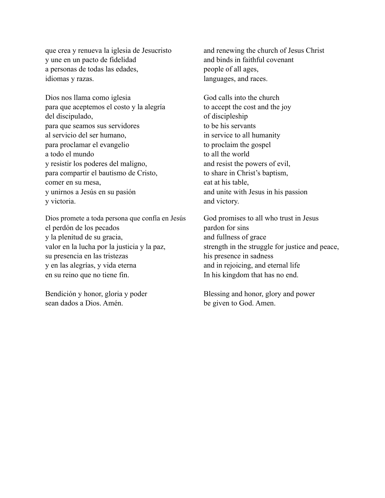y une en un pacto de fidelidad and binds in faithful covenant a personas de todas las edades, people of all ages, idiomas y razas. languages, and races.

Dios nos llama como iglesia God calls into the church para que aceptemos el costo y la alegría to accept the cost and the joy del discipulado, of discipleship para que seamos sus servidores to be his servants al servicio del ser humano, in service to all humanity para proclamar el evangelio to proclaim the gospel a todo el mundo to all the world y resistir los poderes del maligno, and resist the powers of evil, para compartir el bautismo de Cristo, to share in Christ's baptism, comer en su mesa, eat at his table, y unirnos a Jesús en su pasión and unite with Jesus in his passion y victoria. and victory.

Dios promete a toda persona que confía en Jesús God promises to all who trust in Jesus el perdón de los pecados pardon for sins y la plenitud de su gracia, and fullness of grace valor en la lucha por la justicia y la paz, strength in the struggle for justice and peace, su presencia en las tristezas his presence in sadness y en las alegrías, y vida eterna and in rejoicing, and eternal life en su reino que no tiene fin. In his kingdom that has no end.

sean dados a Dios. Amén.<br>
be given to God. Amen.

que crea y renueva la iglesia de Jesucristo and renewing the church of Jesus Christ

Bendición y honor, gloria y poder Blessing and honor, glory and power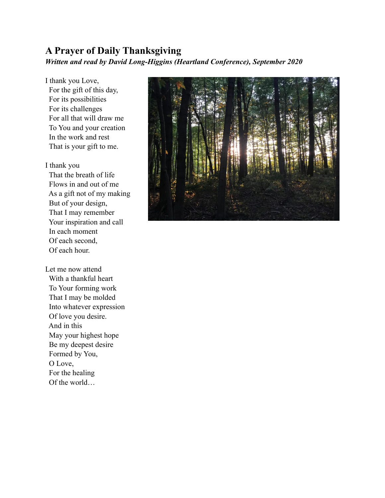### **A Prayer of Daily Thanksgiving**  *Written and read by David Long-Higgins (Heartland Conference), September 2020*

I thank you Love, For the gift of this day, For its possibilities For its challenges For all that will draw me To You and your creation In the work and rest That is your gift to me.

#### I thank you

 That the breath of life Flows in and out of me As a gift not of my making But of your design, That I may remember Your inspiration and call In each moment Of each second, Of each hour.

Let me now attend With a thankful heart To Your forming work That I may be molded Into whatever expression Of love you desire. And in this May your highest hope Be my deepest desire Formed by You, O Love, For the healing Of the world…

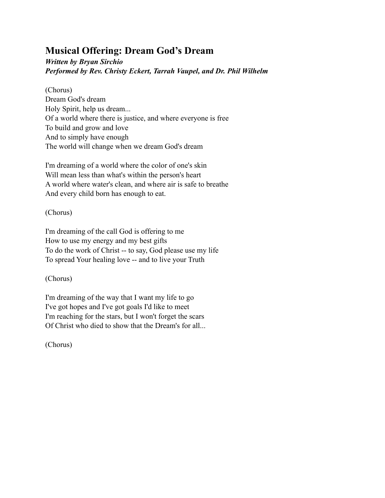## **Musical Offering: Dream God's Dream**

*Written by Bryan Sirchio Performed by Rev. Christy Eckert, Tarrah Vaupel, and Dr. Phil Wilhelm* 

(Chorus) Dream God's dream Holy Spirit, help us dream... Of a world where there is justice, and where everyone is free To build and grow and love And to simply have enough The world will change when we dream God's dream

I'm dreaming of a world where the color of one's skin Will mean less than what's within the person's heart A world where water's clean, and where air is safe to breathe And every child born has enough to eat.

(Chorus)

I'm dreaming of the call God is offering to me How to use my energy and my best gifts To do the work of Christ -- to say, God please use my life To spread Your healing love -- and to live your Truth

(Chorus)

I'm dreaming of the way that I want my life to go I've got hopes and I've got goals I'd like to meet I'm reaching for the stars, but I won't forget the scars Of Christ who died to show that the Dream's for all...

(Chorus)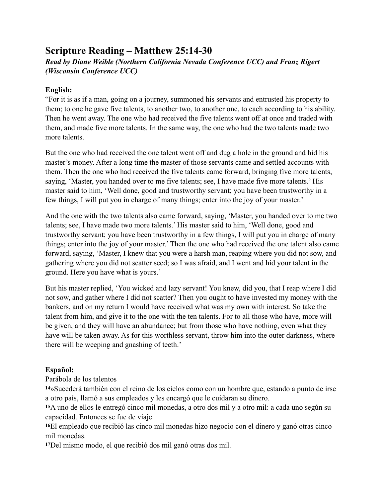## **Scripture Reading – Matthew 25:14-30**

#### *Read by Diane Weible (Northern California Nevada Conference UCC) and Franz Rigert (Wisconsin Conference UCC)*

#### **English:**

"For it is as if a man, going on a journey, summoned his servants and entrusted his property to them; to one he gave five talents, to another two, to another one, to each according to his ability. Then he went away. The one who had received the five talents went off at once and traded with them, and made five more talents. In the same way, the one who had the two talents made two more talents.

But the one who had received the one talent went off and dug a hole in the ground and hid his master's money. After a long time the master of those servants came and settled accounts with them. Then the one who had received the five talents came forward, bringing five more talents, saying, 'Master, you handed over to me five talents; see, I have made five more talents.' His master said to him, 'Well done, good and trustworthy servant; you have been trustworthy in a few things, I will put you in charge of many things; enter into the joy of your master.'

And the one with the two talents also came forward, saying, 'Master, you handed over to me two talents; see, I have made two more talents.' His master said to him, 'Well done, good and trustworthy servant; you have been trustworthy in a few things, I will put you in charge of many things; enter into the joy of your master.' Then the one who had received the one talent also came forward, saying, 'Master, I knew that you were a harsh man, reaping where you did not sow, and gathering where you did not scatter seed; so I was afraid, and I went and hid your talent in the ground. Here you have what is yours.'

But his master replied, 'You wicked and lazy servant! You knew, did you, that I reap where I did not sow, and gather where I did not scatter? Then you ought to have invested my money with the bankers, and on my return I would have received what was my own with interest. So take the talent from him, and give it to the one with the ten talents. For to all those who have, more will be given, and they will have an abundance; but from those who have nothing, even what they have will be taken away. As for this worthless servant, throw him into the outer darkness, where there will be weeping and gnashing of teeth.'

#### **Español:**

Parábola de los talentos

**<sup>14</sup>**»Sucederá también con el reino de los cielos como con un hombre que, estando a punto de irse a otro país, llamó a sus empleados y les encargó que le cuidaran su dinero.

**<sup>15</sup>**A uno de ellos le entregó cinco mil monedas, a otro dos mil y a otro mil: a cada uno según su capacidad. Entonces se fue de viaje.

**<sup>16</sup>**El empleado que recibió las cinco mil monedas hizo negocio con el dinero y ganó otras cinco mil monedas.

**17**Del mismo modo, el que recibió dos mil ganó otras dos mil.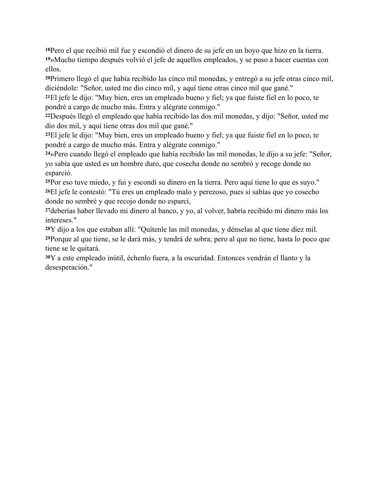**<sup>18</sup>**Pero el que recibió mil fue y escondió el dinero de su jefe en un hoyo que hizo en la tierra. **<sup>19</sup>**»Mucho tiempo después volvió el jefe de aquellos empleados, y se puso a hacer cuentas con ellos.

**<sup>20</sup>**Primero llegó el que había recibido las cinco mil monedas, y entregó a su jefe otras cinco mil, diciéndole: "Señor, usted me dio cinco mil, y aquí tiene otras cinco mil que gané."

**<sup>21</sup>**El jefe le dijo: "Muy bien, eres un empleado bueno y fiel; ya que fuiste fiel en lo poco, te pondré a cargo de mucho más. Entra y alégrate conmigo."

**<sup>22</sup>**Después llegó el empleado que había recibido las dos mil monedas, y dijo: "Señor, usted me dio dos mil, y aquí tiene otras dos mil que gané."

**<sup>23</sup>**El jefe le dijo: "Muy bien, eres un empleado bueno y fiel; ya que fuiste fiel en lo poco, te pondré a cargo de mucho más. Entra y alégrate conmigo."

**<sup>24</sup>**»Pero cuando llegó el empleado que había recibido las mil monedas, le dijo a su jefe: "Señor, yo sabía que usted es un hombre duro, que cosecha donde no sembró y recoge donde no esparció.

**<sup>25</sup>**Por eso tuve miedo, y fui y escondí su dinero en la tierra. Pero aquí tiene lo que es suyo." **<sup>26</sup>**El jefe le contestó: "Tú eres un empleado malo y perezoso, pues si sabías que yo cosecho donde no sembré y que recojo donde no esparcí,

**<sup>27</sup>**deberías haber llevado mi dinero al banco, y yo, al volver, habría recibido mi dinero más los intereses."

**<sup>28</sup>**Y dijo a los que estaban allí: "Quítenle las mil monedas, y dénselas al que tiene diez mil. **<sup>29</sup>**Porque al que tiene, se le dará más, y tendrá de sobra; pero al que no tiene, hasta lo poco que tiene se le quitará.

**<sup>30</sup>**Y a este empleado inútil, échenlo fuera, a la oscuridad. Entonces vendrán el llanto y la desesperación."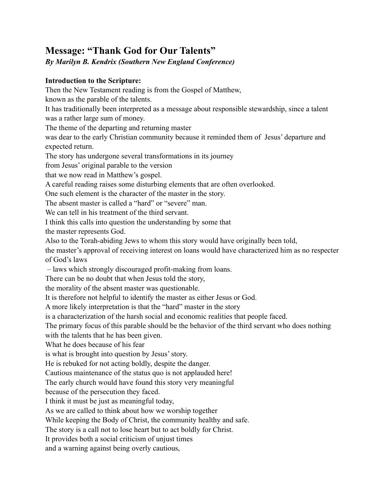## **Message: "Thank God for Our Talents"**

*By Marilyn B. Kendrix (Southern New England Conference)* 

#### **Introduction to the Scripture:**

Then the New Testament reading is from the Gospel of Matthew,

known as the parable of the talents.

It has traditionally been interpreted as a message about responsible stewardship, since a talent was a rather large sum of money.

The theme of the departing and returning master

was dear to the early Christian community because it reminded them of Jesus' departure and expected return.

The story has undergone several transformations in its journey

from Jesus' original parable to the version

that we now read in Matthew's gospel.

A careful reading raises some disturbing elements that are often overlooked.

One such element is the character of the master in the story.

The absent master is called a "hard" or "severe" man.

We can tell in his treatment of the third servant.

I think this calls into question the understanding by some that

the master represents God.

Also to the Torah-abiding Jews to whom this story would have originally been told,

the master's approval of receiving interest on loans would have characterized him as no respecter of God's laws

– laws which strongly discouraged profit-making from loans.

There can be no doubt that when Jesus told the story,

the morality of the absent master was questionable.

It is therefore not helpful to identify the master as either Jesus or God.

A more likely interpretation is that the "hard" master in the story

is a characterization of the harsh social and economic realities that people faced.

The primary focus of this parable should be the behavior of the third servant who does nothing

with the talents that he has been given.

What he does because of his fear

is what is brought into question by Jesus' story.

He is rebuked for not acting boldly, despite the danger.

Cautious maintenance of the status quo is not applauded here!

The early church would have found this story very meaningful

because of the persecution they faced.

I think it must be just as meaningful today,

As we are called to think about how we worship together

While keeping the Body of Christ, the community healthy and safe.

The story is a call not to lose heart but to act boldly for Christ.

It provides both a social criticism of unjust times

and a warning against being overly cautious,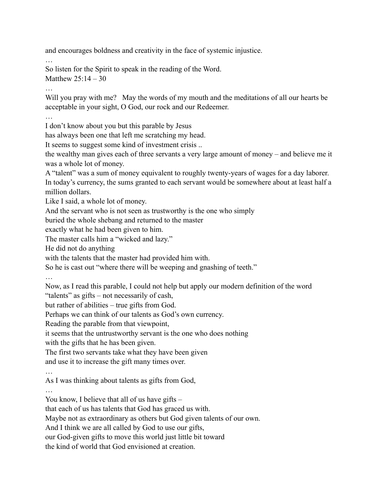and encourages boldness and creativity in the face of systemic injustice.

So listen for the Spirit to speak in the reading of the Word. Matthew  $25:14-30$ 

…

…

Will you pray with me? May the words of my mouth and the meditations of all our hearts be acceptable in your sight, O God, our rock and our Redeemer.

…

I don't know about you but this parable by Jesus

has always been one that left me scratching my head.

It seems to suggest some kind of investment crisis ..

the wealthy man gives each of three servants a very large amount of money – and believe me it was a whole lot of money.

A "talent" was a sum of money equivalent to roughly twenty-years of wages for a day laborer. In today's currency, the sums granted to each servant would be somewhere about at least half a million dollars.

Like I said, a whole lot of money.

And the servant who is not seen as trustworthy is the one who simply

buried the whole shebang and returned to the master

exactly what he had been given to him.

The master calls him a "wicked and lazy."

He did not do anything

with the talents that the master had provided him with.

So he is cast out "where there will be weeping and gnashing of teeth."

…

Now, as I read this parable, I could not help but apply our modern definition of the word "talents" as gifts – not necessarily of cash,

but rather of abilities – true gifts from God.

Perhaps we can think of our talents as God's own currency.

Reading the parable from that viewpoint,

it seems that the untrustworthy servant is the one who does nothing

with the gifts that he has been given.

The first two servants take what they have been given

and use it to increase the gift many times over.

As I was thinking about talents as gifts from God,

…

…

You know, I believe that all of us have gifts –

that each of us has talents that God has graced us with.

Maybe not as extraordinary as others but God given talents of our own.

And I think we are all called by God to use our gifts,

our God-given gifts to move this world just little bit toward

the kind of world that God envisioned at creation.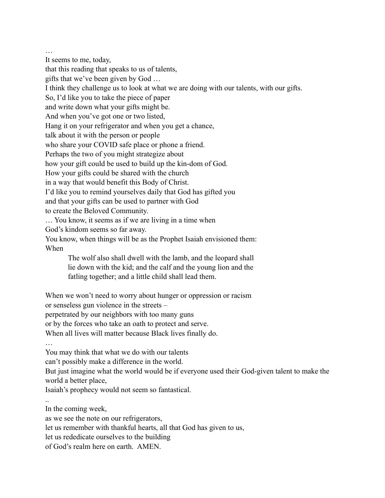… It seems to me, today, that this reading that speaks to us of talents, gifts that we've been given by God … I think they challenge us to look at what we are doing with our talents, with our gifts. So, I'd like you to take the piece of paper and write down what your gifts might be. And when you've got one or two listed, Hang it on your refrigerator and when you get a chance, talk about it with the person or people who share your COVID safe place or phone a friend. Perhaps the two of you might strategize about how your gift could be used to build up the kin-dom of God. How your gifts could be shared with the church in a way that would benefit this Body of Christ. I'd like you to remind yourselves daily that God has gifted you and that your gifts can be used to partner with God to create the Beloved Community. … You know, it seems as if we are living in a time when God's kindom seems so far away. You know, when things will be as the Prophet Isaiah envisioned them: When

The wolf also shall dwell with the lamb, and the leopard shall lie down with the kid; and the calf and the young lion and the fatling together; and a little child shall lead them.

When we won't need to worry about hunger or oppression or racism or senseless gun violence in the streets – perpetrated by our neighbors with too many guns or by the forces who take an oath to protect and serve. When all lives will matter because Black lives finally do.

..

You may think that what we do with our talents

can't possibly make a difference in the world.

But just imagine what the world would be if everyone used their God-given talent to make the world a better place,

Isaiah's prophecy would not seem so fantastical.

In the coming week,

as we see the note on our refrigerators,

let us remember with thankful hearts, all that God has given to us,

let us rededicate ourselves to the building

of God's realm here on earth. AMEN.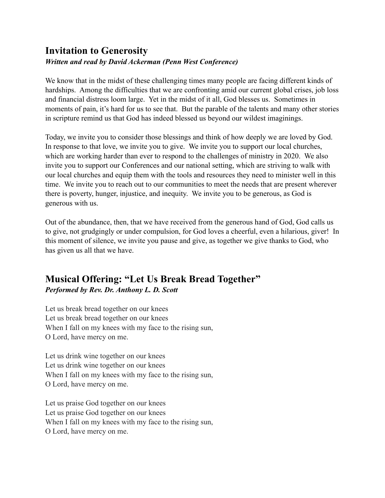## **Invitation to Generosity**  *Written and read by David Ackerman (Penn West Conference)*

We know that in the midst of these challenging times many people are facing different kinds of hardships. Among the difficulties that we are confronting amid our current global crises, job loss and financial distress loom large. Yet in the midst of it all, God blesses us. Sometimes in moments of pain, it's hard for us to see that. But the parable of the talents and many other stories in scripture remind us that God has indeed blessed us beyond our wildest imaginings.

Today, we invite you to consider those blessings and think of how deeply we are loved by God. In response to that love, we invite you to give. We invite you to support our local churches, which are working harder than ever to respond to the challenges of ministry in 2020. We also invite you to support our Conferences and our national setting, which are striving to walk with our local churches and equip them with the tools and resources they need to minister well in this time. We invite you to reach out to our communities to meet the needs that are present wherever there is poverty, hunger, injustice, and inequity. We invite you to be generous, as God is generous with us.

Out of the abundance, then, that we have received from the generous hand of God, God calls us to give, not grudgingly or under compulsion, for God loves a cheerful, even a hilarious, giver! In this moment of silence, we invite you pause and give, as together we give thanks to God, who has given us all that we have.

## **Musical Offering: "Let Us Break Bread Together"**  *Performed by Rev. Dr. Anthony L. D. Scott*

Let us break bread together on our knees Let us break bread together on our knees When I fall on my knees with my face to the rising sun, O Lord, have mercy on me.

Let us drink wine together on our knees Let us drink wine together on our knees When I fall on my knees with my face to the rising sun, O Lord, have mercy on me.

Let us praise God together on our knees Let us praise God together on our knees When I fall on my knees with my face to the rising sun, O Lord, have mercy on me.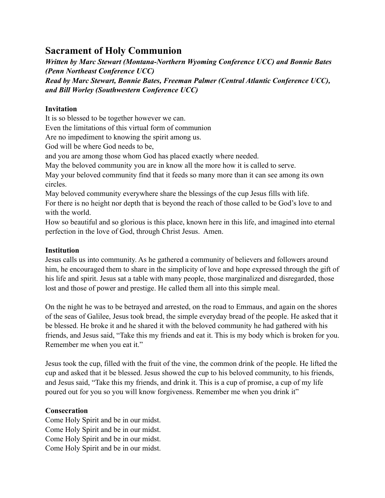## **Sacrament of Holy Communion**

*Written by Marc Stewart (Montana-Northern Wyoming Conference UCC) and Bonnie Bates (Penn Northeast Conference UCC) Read by Marc Stewart, Bonnie Bates, Freeman Palmer (Central Atlantic Conference UCC),* 

*and Bill Worley (Southwestern Conference UCC)* 

#### **Invitation**

It is so blessed to be together however we can.

Even the limitations of this virtual form of communion

Are no impediment to knowing the spirit among us.

God will be where God needs to be,

and you are among those whom God has placed exactly where needed.

May the beloved community you are in know all the more how it is called to serve.

May your beloved community find that it feeds so many more than it can see among its own circles.

May beloved community everywhere share the blessings of the cup Jesus fills with life.

For there is no height nor depth that is beyond the reach of those called to be God's love to and with the world.

How so beautiful and so glorious is this place, known here in this life, and imagined into eternal perfection in the love of God, through Christ Jesus. Amen.

#### **Institution**

Jesus calls us into community. As he gathered a community of believers and followers around him, he encouraged them to share in the simplicity of love and hope expressed through the gift of his life and spirit. Jesus sat a table with many people, those marginalized and disregarded, those lost and those of power and prestige. He called them all into this simple meal.

On the night he was to be betrayed and arrested, on the road to Emmaus, and again on the shores of the seas of Galilee, Jesus took bread, the simple everyday bread of the people. He asked that it be blessed. He broke it and he shared it with the beloved community he had gathered with his friends, and Jesus said, "Take this my friends and eat it. This is my body which is broken for you. Remember me when you eat it."

Jesus took the cup, filled with the fruit of the vine, the common drink of the people. He lifted the cup and asked that it be blessed. Jesus showed the cup to his beloved community, to his friends, and Jesus said, "Take this my friends, and drink it. This is a cup of promise, a cup of my life poured out for you so you will know forgiveness. Remember me when you drink it"

#### **Consecration**

Come Holy Spirit and be in our midst. Come Holy Spirit and be in our midst. Come Holy Spirit and be in our midst. Come Holy Spirit and be in our midst.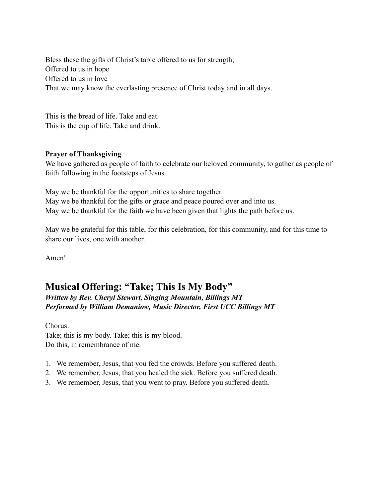Bless these the gifts of Christ's table offered to us for strength, Offered to us in hope Offered to us in love That we may know the everlasting presence of Christ today and in all days.

This is the bread of life. Take and eat. This is the cup of life. Take and drink.

#### **Prayer of Thanksgiving**

We have gathered as people of faith to celebrate our beloved community, to gather as people of faith following in the footsteps of Jesus.

May we be thankful for the opportunities to share together. May we be thankful for the gifts or grace and peace poured over and into us. May we be thankful for the faith we have been given that lights the path before us.

May we be grateful for this table, for this celebration, for this community, and for this time to share our lives, one with another.

Amen!

### **Musical Offering: "Take; This Is My Body"**  *Written by Rev. Cheryl Stewart, Singing Mountain, Billings MT*

*Performed by William Demaniow, Music Director, First UCC Billings MT* 

Chorus: Take; this is my body. Take; this is my blood. Do this, in remembrance of me.

- 1. We remember, Jesus, that you fed the crowds. Before you suffered death.
- 2. We remember, Jesus, that you healed the sick. Before you suffered death.
- 3. We remember, Jesus, that you went to pray. Before you suffered death.